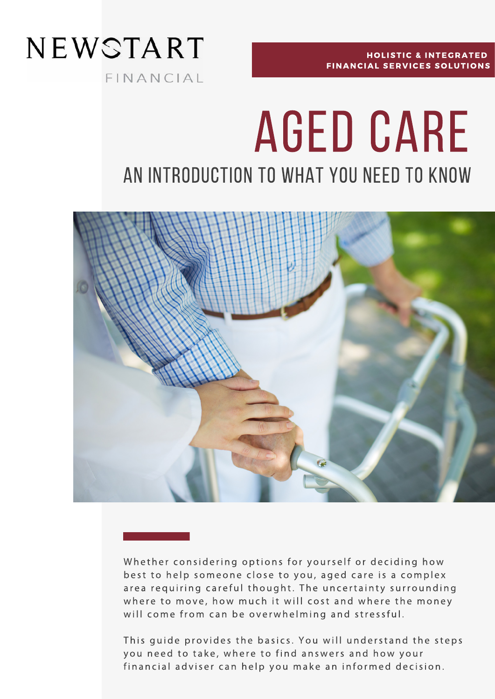

**HOLISTIC & INTEGRATED** FINANCIAL SERVICES SOLUTIONS

# Aged care an introduction to What you need to know



Whether considering options for yourself or deciding how best to help someone close to you, aged care is a complex area requiring careful thought. The uncertainty surrounding where to move, how much it will cost and where the money will come from can be overwhelming and stressful.

This guide provides the basics. You will understand the steps you need to take, where to find answers and how your financial adviser can help you make an informed decision.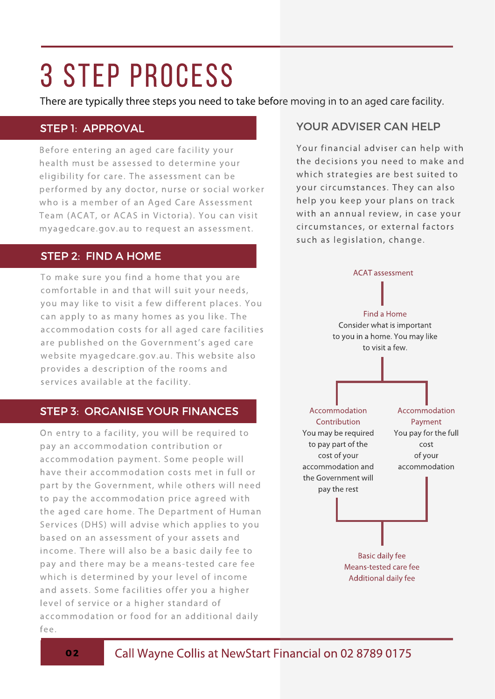## 3 STEP PROCESS

There are typically three steps you need to take before moving in to an aged care facility.

#### STEP 1: APPROVAL

Before entering an aged care facility your health must be assessed to determine your eligibility for care. The assessment can be performed by any doctor, nurse or social worker who is a member of an Aged Care Assessment Team (ACAT, or ACAS in Victoria). You can visit myagedcare.gov.au to request an assessment.

#### STEP 2: FIND A HOME

To make sure you find a home that you are comfortable in and that will suit your needs, you may like to visit a few different places. You can apply to as many homes as you like. The accommodation costs for all aged care facilities are published on the Government's aged care website myagedcare.gov.au. This website also provides a description of the rooms and services available at the facility.

#### STEP 3: ORGANISE YOUR FINANCES

On entry to a facility, you will be required to pay an accommodation contribution or accommodation payment. Some people will have their accommodation costs met in full or part by the Government, while others will need to pay the accommodation price agreed with the aged care home. The Department of Human Services (DHS) will advise which applies to you based on an assessment of your assets and income. There will also be a basic daily fee to pay and there may be a means-tested care fee which is determined by your level of income and assets. Some facilities offer you a higher level of service or a higher standard of accommodation or food for an additional daily fee.

#### YOUR ADVISER CAN HELP

Your financial adviser can help with the decisions you need to make and which strategies are best suited to your circumstances. They can also help you keep your plans on track with an annual review, in case your circumstances, or external factors such as legislation, change.

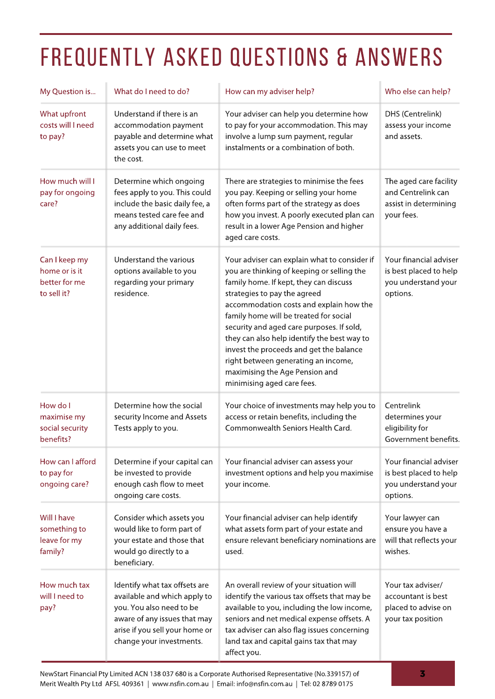## FREQUENTLY ASKED QUESTIONS & ANSWERS

| My Question is                                                 | What do I need to do?                                                                                                                                                                   | How can my adviser help?                                                                                                                                                                                                                                                                                                                                                                                                                                                                                | Who else can help?                                                                  |
|----------------------------------------------------------------|-----------------------------------------------------------------------------------------------------------------------------------------------------------------------------------------|---------------------------------------------------------------------------------------------------------------------------------------------------------------------------------------------------------------------------------------------------------------------------------------------------------------------------------------------------------------------------------------------------------------------------------------------------------------------------------------------------------|-------------------------------------------------------------------------------------|
| What upfront<br>costs will I need<br>to pay?                   | Understand if there is an<br>accommodation payment<br>payable and determine what<br>assets you can use to meet<br>the cost.                                                             | Your adviser can help you determine how<br>to pay for your accommodation. This may<br>involve a lump sum payment, regular<br>instalments or a combination of both.                                                                                                                                                                                                                                                                                                                                      | DHS (Centrelink)<br>assess your income<br>and assets.                               |
| How much will I<br>pay for ongoing<br>care?                    | Determine which ongoing<br>fees apply to you. This could<br>include the basic daily fee, a<br>means tested care fee and<br>any additional daily fees.                                   | There are strategies to minimise the fees<br>you pay. Keeping or selling your home<br>often forms part of the strategy as does<br>how you invest. A poorly executed plan can<br>result in a lower Age Pension and higher<br>aged care costs.                                                                                                                                                                                                                                                            | The aged care facility<br>and Centrelink can<br>assist in determining<br>your fees. |
| Can I keep my<br>home or is it<br>better for me<br>to sell it? | Understand the various<br>options available to you<br>regarding your primary<br>residence.                                                                                              | Your adviser can explain what to consider if<br>you are thinking of keeping or selling the<br>family home. If kept, they can discuss<br>strategies to pay the agreed<br>accommodation costs and explain how the<br>family home will be treated for social<br>security and aged care purposes. If sold,<br>they can also help identify the best way to<br>invest the proceeds and get the balance<br>right between generating an income,<br>maximising the Age Pension and<br>minimising aged care fees. | Your financial adviser<br>is best placed to help<br>you understand your<br>options. |
| How do I<br>maximise my<br>social security<br>benefits?        | Determine how the social<br>security Income and Assets<br>Tests apply to you.                                                                                                           | Your choice of investments may help you to<br>access or retain benefits, including the<br>Commonwealth Seniors Health Card.                                                                                                                                                                                                                                                                                                                                                                             | Centrelink<br>determines your<br>eligibility for<br>Government benefits.            |
| How can I afford<br>to pay for<br>ongoing care?                | Determine if your capital can<br>be invested to provide<br>enough cash flow to meet<br>ongoing care costs.                                                                              | Your financial adviser can assess your<br>investment options and help you maximise<br>your income.                                                                                                                                                                                                                                                                                                                                                                                                      | Your financial adviser<br>is best placed to help<br>you understand your<br>options. |
| Will I have<br>something to<br>leave for my<br>family?         | Consider which assets you<br>would like to form part of<br>your estate and those that<br>would go directly to a<br>beneficiary.                                                         | Your financial adviser can help identify<br>what assets form part of your estate and<br>ensure relevant beneficiary nominations are<br>used.                                                                                                                                                                                                                                                                                                                                                            | Your lawyer can<br>ensure you have a<br>will that reflects your<br>wishes.          |
| How much tax<br>will I need to<br>pay?                         | Identify what tax offsets are<br>available and which apply to<br>you. You also need to be<br>aware of any issues that may<br>arise if you sell your home or<br>change your investments. | An overall review of your situation will<br>identify the various tax offsets that may be<br>available to you, including the low income,<br>seniors and net medical expense offsets. A<br>tax adviser can also flag issues concerning<br>land tax and capital gains tax that may<br>affect you.                                                                                                                                                                                                          | Your tax adviser/<br>accountant is best<br>placed to advise on<br>your tax position |

NewStart Financial Pty Limited ACN 138 037 680 is a Corporate Authorised Representative (No.339157) of 3 Merit Wealth Pty Ltd AFSL 409361 | www.nsfin.com.au | Email: info@nsfin.com.au | Tel: 02 8789 0175